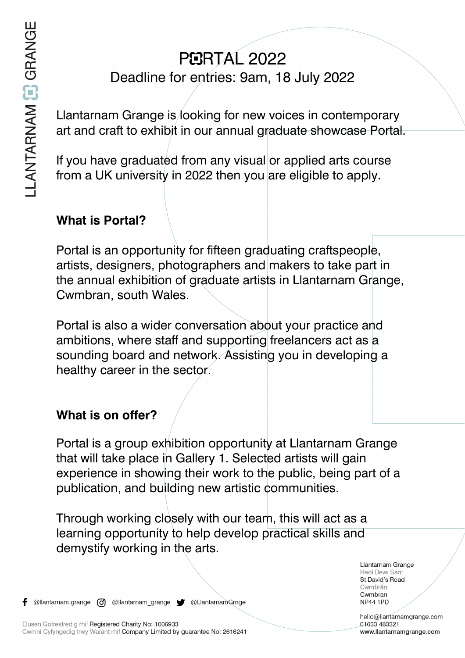# **PEIRTAL 2022** Deadline for entries: 9am, 18 July 2022

Llantarnam Grange is looking for new voices in contemporary art and craft to exhibit in our annual graduate showcase Portal.

If you have graduated from any visual or applied arts course from a UK university in 2022 then you are eligible to apply.

### **What is Portal?**

Portal is an opportunity for fifteen graduating craftspeople, artists, designers, photographers and makers to take part in the annual exhibition of graduate artists in Llantarnam Grange, Cwmbran, south Wales.

Portal is also a wider conversation about your practice and ambitions, where staff and supporting freelancers act as a sounding board and network. Assisting you in developing a healthy career in the sector.

#### **What is on offer?**

Portal is a group exhibition opportunity at Llantarnam Grange that will take place in Gallery 1. Selected artists will gain experience in showing their work to the public, being part of a publication, and building new artistic communities.

Through working closely with our team, this will act as a learning opportunity to help develop practical skills and demystify working in the arts.

f

Llantarnam Grange Heol Dewi Sant St David's Road Cwmbrân Cwmbran **NP44 1PD** 

hello@llantarnamgrange.com 01633 483321 www.llantarnamgrange.com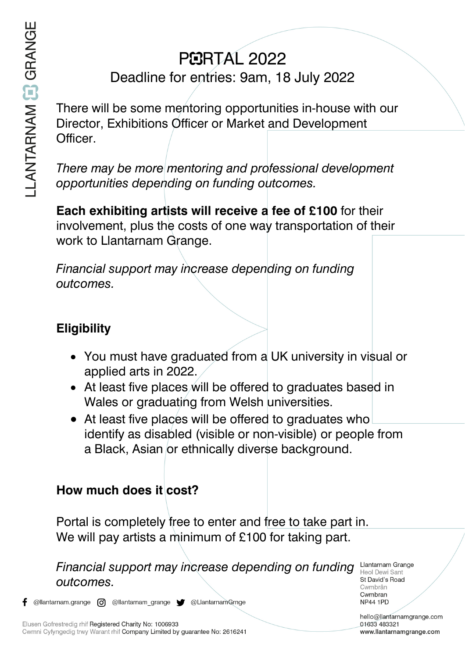# **PEIRTAL 2022**

# Deadline for entries: 9am, 18 July 2022

There will be some mentoring opportunities in-house with our Director, Exhibitions Officer or Market and Development Officer.

*There may be more mentoring and professional development opportunities depending on funding outcomes.*

**Each exhibiting artists will receive a fee of £100** for their involvement, plus the costs of one way transportation of their work to Llantarnam Grange.

*Financial support may increase depending on funding outcomes.*

## **Eligibility**

- You must have graduated from a UK university in visual or applied arts in 2022.
- At least five places will be offered to graduates based in Wales or graduating from Welsh universities.
- At least five places will be offered to graduates who identify as disabled (visible or non-visible) or people from a Black, Asian or ethnically diverse background.

### How much does it cost?

Portal is completely free to enter and free to take part in. We will pay artists a minimum of £100 for taking part.

*Financial support may increase depending on funding outcomes.*

Llantarnam Grange Heol Dewi Sant St David's Road Cwmbrân Cwmbran **NP44 1PD** 

hello@llantarnamgrange.com 01633 483321 www.llantarnamgrange.com

@llantarnam.grange @ @llantarnam\_grange @ @LlantarnamGrnge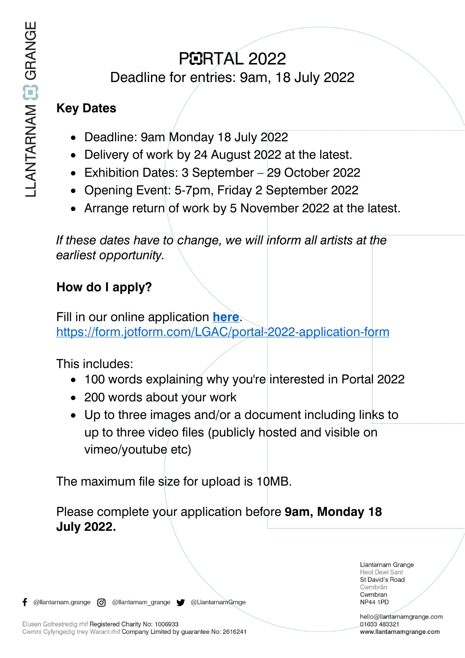# **PEIRTAL 2022**

Deadline for entries: 9am, 18 July 2022

### **Key Dates**

- Deadline: 9am Monday 18 July 2022
- Delivery of work by 24 August 2022 at the latest.
- Exhibition Dates: 3 September 29 October 2022
- Opening Event: 5-7pm, Friday 2 September 2022
- Arrange return of work by 5 November 2022 at the latest.

*If these dates have to change, we will inform all artists at the earliest opportunity.*

## **How do I apply?**

Fill in our online application **[here](https://form.jotform.com/LGAC/portal-2022-application-form)**. <https://form.jotform.com/LGAC/portal-2022-application-form>

This includes:

- 100 words explaining why you're interested in Portal 2022
- 200 words about your work
- Up to three images and/or a document including links to up to three video files (publicly hosted and visible on vimeo/youtube etc)

The maximum file size for upload is 10MB.

Please complete your application before **9am, Monday 18 July 2022.**

> Llantarnam Grange Heol Dewi Sant St David's Road Cwmbrân Cwmbran **NP44 1PD**

hello@llantarnamgrange.com 01633 483321 www.llantarnamgrange.com